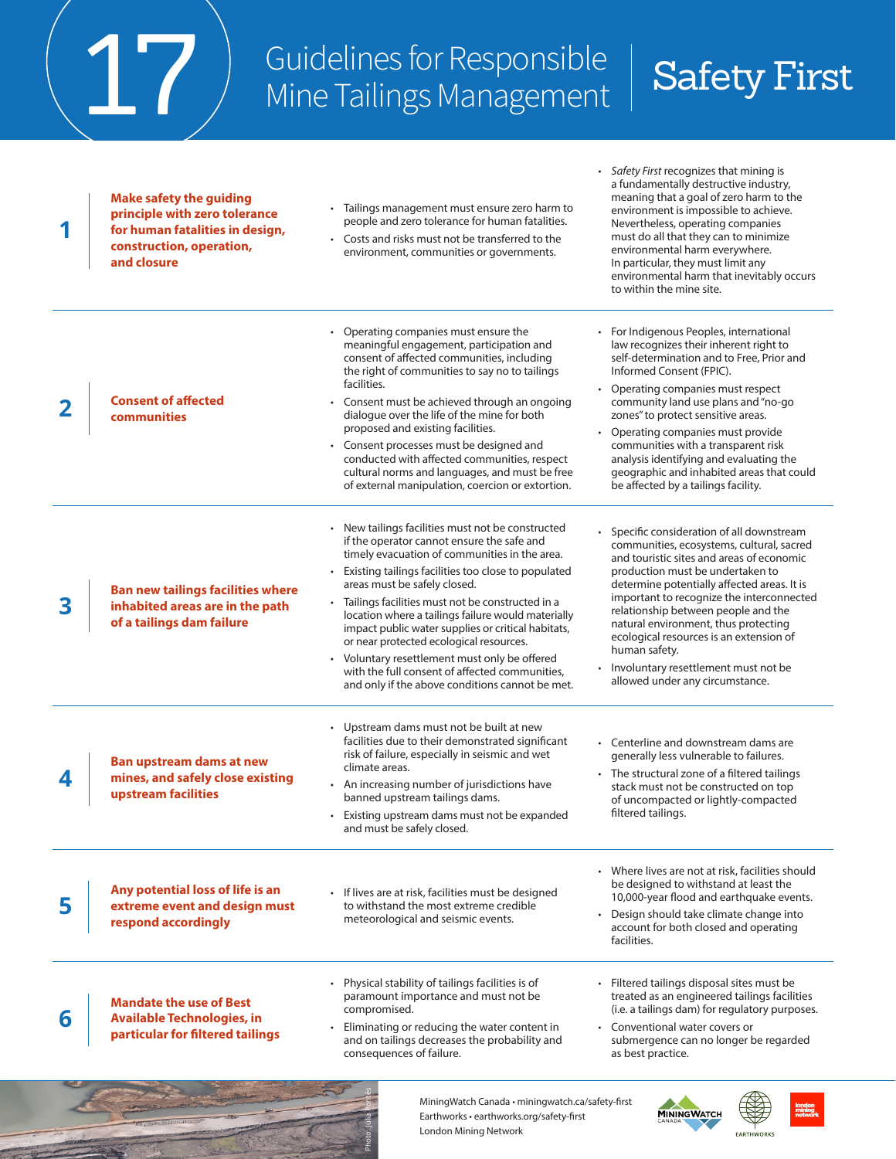## Guidelines for Responsible Guidelines for Responsible | Safety First<br>Mine Tailings Management | Safety First

*• Safety First* recognizes that mining is

|   |                                                                                                                                               | MiningWatch Canada · miningwatch.ca/safety-first<br>Earthworks · earthworks.org/safety-first<br>London Mining Network                                                                                                                                                                                                                                                                                                                                                                                                                                                                                    | <b>MININGWATCH</b><br><b>EARTHWORKS</b>                                                                                                                                                                                                                                                                                                                                                                                                                                                    |  |
|---|-----------------------------------------------------------------------------------------------------------------------------------------------|----------------------------------------------------------------------------------------------------------------------------------------------------------------------------------------------------------------------------------------------------------------------------------------------------------------------------------------------------------------------------------------------------------------------------------------------------------------------------------------------------------------------------------------------------------------------------------------------------------|--------------------------------------------------------------------------------------------------------------------------------------------------------------------------------------------------------------------------------------------------------------------------------------------------------------------------------------------------------------------------------------------------------------------------------------------------------------------------------------------|--|
| 6 | <b>Mandate the use of Best</b><br><b>Available Technologies, in</b><br>particular for filtered tailings                                       | Physical stability of tailings facilities is of<br>paramount importance and must not be<br>compromised.<br>Eliminating or reducing the water content in<br>and on tailings decreases the probability and<br>consequences of failure.                                                                                                                                                                                                                                                                                                                                                                     | Filtered tailings disposal sites must be<br>treated as an engineered tailings facilities<br>(i.e. a tailings dam) for regulatory purposes.<br>• Conventional water covers or<br>submergence can no longer be regarded<br>as best practice.                                                                                                                                                                                                                                                 |  |
|   | Any potential loss of life is an<br>extreme event and design must<br>respond accordingly                                                      | · If lives are at risk, facilities must be designed<br>to withstand the most extreme credible<br>meteorological and seismic events.                                                                                                                                                                                                                                                                                                                                                                                                                                                                      | • Where lives are not at risk, facilities should<br>be designed to withstand at least the<br>10,000-year flood and earthquake events.<br>Design should take climate change into<br>account for both closed and operating<br>facilities.                                                                                                                                                                                                                                                    |  |
|   | <b>Ban upstream dams at new</b><br>mines, and safely close existing<br>upstream facilities                                                    | • Upstream dams must not be built at new<br>facilities due to their demonstrated significant<br>risk of failure, especially in seismic and wet<br>climate areas.<br>An increasing number of jurisdictions have<br>banned upstream tailings dams.<br>• Existing upstream dams must not be expanded<br>and must be safely closed.                                                                                                                                                                                                                                                                          | • Centerline and downstream dams are<br>generally less vulnerable to failures.<br>• The structural zone of a filtered tailings<br>stack must not be constructed on top<br>of uncompacted or lightly-compacted<br>filtered tailings.                                                                                                                                                                                                                                                        |  |
| 3 | <b>Ban new tailings facilities where</b><br>inhabited areas are in the path<br>of a tailings dam failure                                      | • New tailings facilities must not be constructed<br>if the operator cannot ensure the safe and<br>timely evacuation of communities in the area.<br>Existing tailings facilities too close to populated<br>areas must be safely closed.<br>Tailings facilities must not be constructed in a<br>location where a tailings failure would materially<br>impact public water supplies or critical habitats,<br>or near protected ecological resources.<br>• Voluntary resettlement must only be offered<br>with the full consent of affected communities,<br>and only if the above conditions cannot be met. | • Specific consideration of all downstream<br>communities, ecosystems, cultural, sacred<br>and touristic sites and areas of economic<br>production must be undertaken to<br>determine potentially affected areas. It is<br>important to recognize the interconnected<br>relationship between people and the<br>natural environment, thus protecting<br>ecological resources is an extension of<br>human safety.<br>Involuntary resettlement must not be<br>allowed under any circumstance. |  |
|   | <b>Consent of affected</b><br><b>communities</b>                                                                                              | Operating companies must ensure the<br>meaningful engagement, participation and<br>consent of affected communities, including<br>the right of communities to say no to tailings<br>facilities.<br>Consent must be achieved through an ongoing<br>dialogue over the life of the mine for both<br>proposed and existing facilities.<br>• Consent processes must be designed and<br>conducted with affected communities, respect<br>cultural norms and languages, and must be free<br>of external manipulation, coercion or extortion.                                                                      | For Indigenous Peoples, international<br>law recognizes their inherent right to<br>self-determination and to Free, Prior and<br>Informed Consent (FPIC).<br>Operating companies must respect<br>community land use plans and "no-go<br>zones" to protect sensitive areas.<br>Operating companies must provide<br>communities with a transparent risk<br>analysis identifying and evaluating the<br>geographic and inhabited areas that could<br>be affected by a tailings facility.        |  |
|   | <b>Make safety the guiding</b><br>principle with zero tolerance<br>for human fatalities in design,<br>construction, operation,<br>and closure | • Tailings management must ensure zero harm to<br>people and zero tolerance for human fatalities.<br>• Costs and risks must not be transferred to the<br>environment, communities or governments.                                                                                                                                                                                                                                                                                                                                                                                                        | a fundamentally destructive industry,<br>meaning that a goal of zero harm to the<br>environment is impossible to achieve.<br>Nevertheless, operating companies<br>must do all that they can to minimize<br>environmental harm everywhere.<br>In particular, they must limit any<br>environmental harm that inevitably occurs<br>to within the mine site.                                                                                                                                   |  |

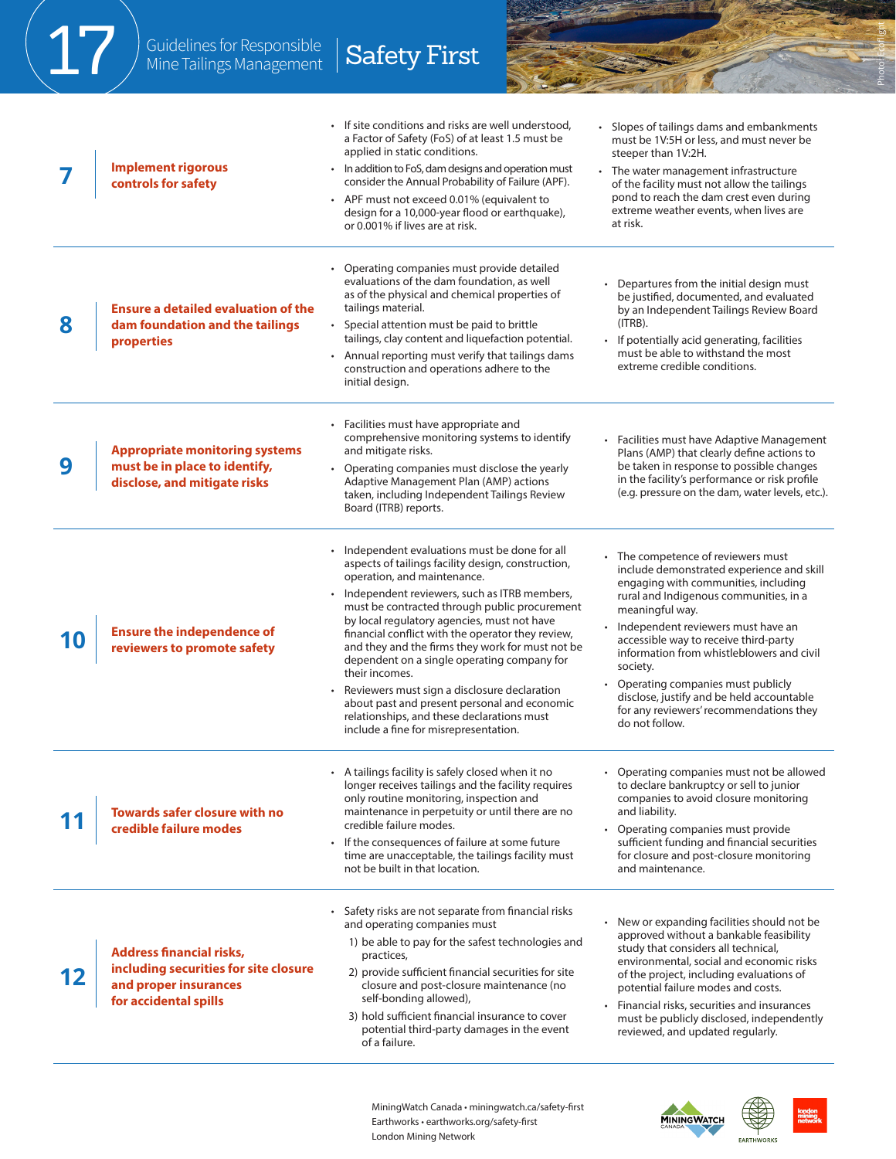|   | Guidelines for Responsible<br>Mine Tailings Management                                                                     | <b>Safety First</b>                                                                                                                                                                                                                                                                                                                                                                                                                                                                                                                                                                                                                                |                                                                                                                                                                                                                                                                                                                                                                                                                                                                           |
|---|----------------------------------------------------------------------------------------------------------------------------|----------------------------------------------------------------------------------------------------------------------------------------------------------------------------------------------------------------------------------------------------------------------------------------------------------------------------------------------------------------------------------------------------------------------------------------------------------------------------------------------------------------------------------------------------------------------------------------------------------------------------------------------------|---------------------------------------------------------------------------------------------------------------------------------------------------------------------------------------------------------------------------------------------------------------------------------------------------------------------------------------------------------------------------------------------------------------------------------------------------------------------------|
|   | <b>Implement rigorous</b><br>controls for safety                                                                           | If site conditions and risks are well understood,<br>a Factor of Safety (FoS) of at least 1.5 must be<br>applied in static conditions.<br>In addition to FoS, dam designs and operation must<br>consider the Annual Probability of Failure (APF).<br>• APF must not exceed 0.01% (equivalent to<br>design for a 10,000-year flood or earthquake),<br>or 0.001% if lives are at risk.                                                                                                                                                                                                                                                               | • Slopes of tailings dams and embankments<br>must be 1V:5H or less, and must never be<br>steeper than 1V:2H.<br>The water management infrastructure<br>of the facility must not allow the tailings<br>pond to reach the dam crest even during<br>extreme weather events, when lives are<br>at risk.                                                                                                                                                                       |
| 8 | <b>Ensure a detailed evaluation of the</b><br>dam foundation and the tailings<br>properties                                | Operating companies must provide detailed<br>evaluations of the dam foundation, as well<br>as of the physical and chemical properties of<br>tailings material.<br>• Special attention must be paid to brittle<br>tailings, clay content and liquefaction potential.<br>• Annual reporting must verify that tailings dams<br>construction and operations adhere to the<br>initial design.                                                                                                                                                                                                                                                           | Departures from the initial design must<br>be justified, documented, and evaluated<br>by an Independent Tailings Review Board<br>$(ITRB)$ .<br>• If potentially acid generating, facilities<br>must be able to withstand the most<br>extreme credible conditions.                                                                                                                                                                                                         |
| 9 | <b>Appropriate monitoring systems</b><br>must be in place to identify,<br>disclose, and mitigate risks                     | • Facilities must have appropriate and<br>comprehensive monitoring systems to identify<br>and mitigate risks.<br>Operating companies must disclose the yearly<br>Adaptive Management Plan (AMP) actions<br>taken, including Independent Tailings Review<br>Board (ITRB) reports.                                                                                                                                                                                                                                                                                                                                                                   | • Facilities must have Adaptive Management<br>Plans (AMP) that clearly define actions to<br>be taken in response to possible changes<br>in the facility's performance or risk profile<br>(e.g. pressure on the dam, water levels, etc.).                                                                                                                                                                                                                                  |
|   | <b>Ensure the independence of</b><br>reviewers to promote safety                                                           | Independent evaluations must be done for all<br>aspects of tailings facility design, construction,<br>operation, and maintenance.<br>Independent reviewers, such as ITRB members,<br>must be contracted through public procurement<br>by local regulatory agencies, must not have<br>financial conflict with the operator they review,<br>and they and the firms they work for must not be<br>dependent on a single operating company for<br>their incomes.<br>Reviewers must sign a disclosure declaration<br>about past and present personal and economic<br>relationships, and these declarations must<br>include a fine for misrepresentation. | The competence of reviewers must<br>include demonstrated experience and skill<br>engaging with communities, including<br>rural and Indigenous communities, in a<br>meaningful way.<br>Independent reviewers must have an<br>accessible way to receive third-party<br>information from whistleblowers and civil<br>society.<br>Operating companies must publicly<br>disclose, justify and be held accountable<br>for any reviewers' recommendations they<br>do not follow. |
|   | <b>Towards safer closure with no</b><br>credible failure modes                                                             | • A tailings facility is safely closed when it no<br>longer receives tailings and the facility requires<br>only routine monitoring, inspection and<br>maintenance in perpetuity or until there are no<br>credible failure modes.<br>• If the consequences of failure at some future<br>time are unacceptable, the tailings facility must<br>not be built in that location.                                                                                                                                                                                                                                                                         | • Operating companies must not be allowed<br>to declare bankruptcy or sell to junior<br>companies to avoid closure monitoring<br>and liability.<br>Operating companies must provide<br>sufficient funding and financial securities<br>for closure and post-closure monitoring<br>and maintenance.                                                                                                                                                                         |
|   | <b>Address financial risks,</b><br>including securities for site closure<br>and proper insurances<br>for accidental spills | • Safety risks are not separate from financial risks<br>and operating companies must<br>1) be able to pay for the safest technologies and<br>practices,<br>2) provide sufficient financial securities for site<br>closure and post-closure maintenance (no<br>self-bonding allowed),<br>3) hold sufficient financial insurance to cover<br>potential third-party damages in the event<br>of a failure.                                                                                                                                                                                                                                             | • New or expanding facilities should not be<br>approved without a bankable feasibility<br>study that considers all technical,<br>environmental, social and economic risks<br>of the project, including evaluations of<br>potential failure modes and costs.<br>Financial risks, securities and insurances<br>must be publicly disclosed, independently<br>reviewed, and updated regularly.                                                                                |

MiningWatch Canada • miningwatch.ca/safety-first Earthworks • earthworks.org/safety-first London Mining Network